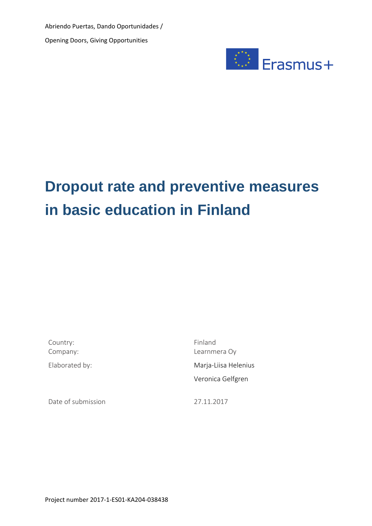Abriendo Puertas, Dando Oportunidades / Opening Doors, Giving Opportunities



# **Dropout rate and preventive measures in basic education in Finland**

Country: Finland

Date of submission 27.11.2017

Company: Learnmera Oy Elaborated by: Marja-Liisa Helenius Veronica Gelfgren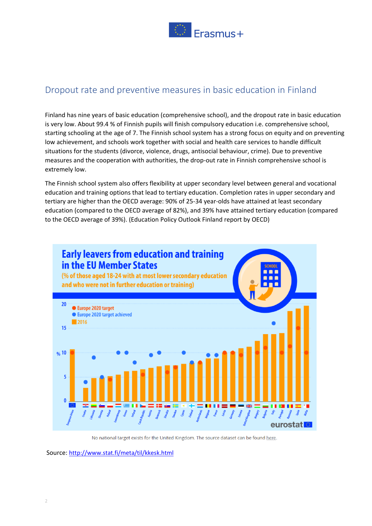

## Dropout rate and preventive measures in basic education in Finland

Finland has nine years of basic education (comprehensive school), and the dropout rate in basic education is very low. About 99.4 % of Finnish pupils will finish compulsory education i.e. comprehensive school, starting schooling at the age of 7. The Finnish school system has a strong focus on equity and on preventing low achievement, and schools work together with social and health care services to handle difficult situations for the students (divorce, violence, drugs, antisocial behaviour, crime). Due to preventive measures and the cooperation with authorities, the drop-out rate in Finnish comprehensive school is extremely low.

The Finnish school system also offers flexibility at upper secondary level between general and vocational education and training options that lead to tertiary education. Completion rates in upper secondary and tertiary are higher than the OECD average: 90% of 25-34 year-olds have attained at least secondary education (compared to the OECD average of 82%), and 39% have attained tertiary education (compared to the OECD average of 39%). (Education Policy Outlook Finland report by OECD)



No national target exists for the United Kingdom. The source dataset can be found here.

Source: <http://www.stat.fi/meta/til/kkesk.html>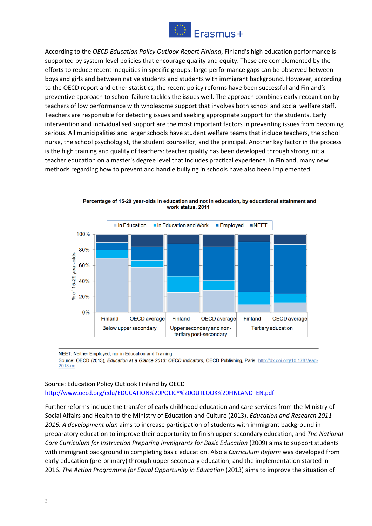

According to the *OECD Education Policy Outlook Report Finland*, Finland's high education performance is supported by system-level policies that encourage quality and equity. These are complemented by the efforts to reduce recent inequities in specific groups: large performance gaps can be observed between boys and girls and between native students and students with immigrant background. However, according to the OECD report and other statistics, the recent policy reforms have been successful and Finland's preventive approach to school failure tackles the issues well. The approach combines early recognition by teachers of low performance with wholesome support that involves both school and social welfare staff. Teachers are responsible for detecting issues and seeking appropriate support for the students. Early intervention and individualised support are the most important factors in preventing issues from becoming serious. All municipalities and larger schools have student welfare teams that include teachers, the school nurse, the school psychologist, the student counsellor, and the principal. Another key factor in the process is the high training and quality of teachers: teacher quality has been developed through strong initial teacher education on a master's degree level that includes practical experience. In Finland, many new methods regarding how to prevent and handle bullying in schools have also been implemented.



Percentage of 15-29 year-olds in education and not in education, by educational attainment and work status, 2011

NEET: Neither Employed, nor in Education and Training Source: OECD (2013), Education at a Glance 2013: OECD Indicators, OECD Publishing, Paris, http://dx.doi.org/10.1787/eag-2013-en.

#### Source: Education Policy Outlook Finland by OECD [http://www.oecd.org/edu/EDUCATION%20POLICY%20OUTLOOK%20FINLAND\\_EN.pdf](http://www.oecd.org/edu/EDUCATION%20POLICY%20OUTLOOK%20FINLAND_EN.pdf)

Further reforms include the transfer of early childhood education and care services from the Ministry of Social Affairs and Health to the Ministry of Education and Culture (2013). *Education and Research 2011- 2016: A development plan* aims to increase participation of students with immigrant background in preparatory education to improve their opportunity to finish upper secondary education, and *The National Core Curriculum for Instruction Preparing Immigrants for Basic Education* (2009) aims to support students with immigrant background in completing basic education. Also a *Curriculum Reform* was developed from early education (pre-primary) through upper secondary education, and the implementation started in 2016. *The Action Programme for Equal Opportunity in Education* (2013) aims to improve the situation of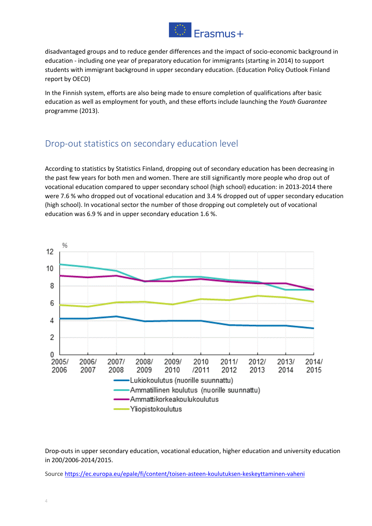

disadvantaged groups and to reduce gender differences and the impact of socio-economic background in education - including one year of preparatory education for immigrants (starting in 2014) to support students with immigrant background in upper secondary education. (Education Policy Outlook Finland report by OECD)

In the Finnish system, efforts are also being made to ensure completion of qualifications after basic education as well as employment for youth, and these efforts include launching the *Youth Guarantee* programme (2013).

# Drop-out statistics on secondary education level

According to statistics by Statistics Finland, dropping out of secondary education has been decreasing in the past few years for both men and women. There are still significantly more people who drop out of vocational education compared to upper secondary school (high school) education: in 2013-2014 there were 7.6 % who dropped out of vocational education and 3.4 % dropped out of upper secondary education (high school). In vocational sector the number of those dropping out completely out of vocational education was 6.9 % and in upper secondary education 1.6 %.



Drop-outs in upper secondary education, vocational education, higher education and university education in 200/2006-2014/2015.

Source <https://ec.europa.eu/epale/fi/content/toisen-asteen-koulutuksen-keskeyttaminen-vaheni>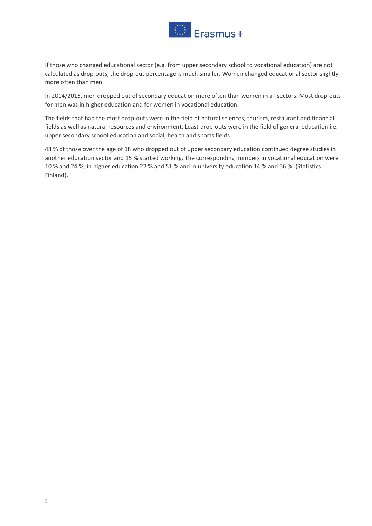

If those who changed educational sector (e.g. from upper secondary school to vocational education) are not calculated as drop-outs, the drop-out percentage is much smaller. Women changed educational sector slightly more often than men.

In 2014/2015, men dropped out of secondary education more often than women in all sectors. Most drop-outs for men was in higher education and for women in vocational education.

The fields that had the most drop-outs were in the field of natural sciences, tourism, restaurant and financial fields as well as natural resources and environment. Least drop-outs were in the field of general education i.e. upper secondary school education and social, health and sports fields.

43 % of those over the age of 18 who dropped out of upper secondary education continued degree studies in another education sector and 15 % started working. The corresponding numbers in vocational education were 10 % and 24 %, in higher education 22 % and 51 % and in university education 14 % and 56 %. (Statistics Finland).